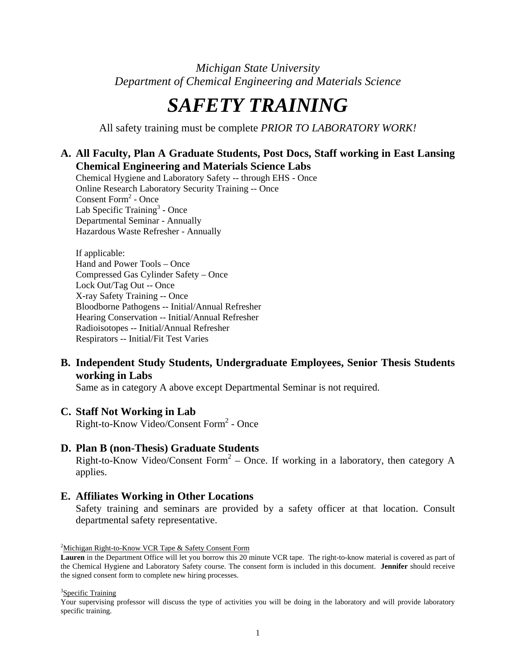## *Michigan State University Department of Chemical Engineering and Materials Science*

# *SAFETY TRAINING*

All safety training must be complete *PRIOR TO LABORATORY WORK!* 

### **A. All Faculty, Plan A Graduate Students, Post Docs, Staff working in East Lansing Chemical Engineering and Materials Science Labs**

Chemical Hygiene and Laboratory Safety -- through EHS - Once Online Research Laboratory Security Training -- Once Consent Form $2$  - Once Lab Specific Training<sup>3</sup> - Once Departmental Seminar - Annually Hazardous Waste Refresher - Annually

If applicable: Hand and Power Tools – Once Compressed Gas Cylinder Safety – Once Lock Out/Tag Out -- Once X-ray Safety Training -- Once Bloodborne Pathogens -- Initial/Annual Refresher Hearing Conservation -- Initial/Annual Refresher Radioisotopes -- Initial/Annual Refresher Respirators -- Initial/Fit Test Varies

### **B. Independent Study Students, Undergraduate Employees, Senior Thesis Students working in Labs**

Same as in category A above except Departmental Seminar is not required.

#### **C. Staff Not Working in Lab**

 $Right$ -to-Know Video/Consent Form<sup>2</sup> - Once

#### **D. Plan B (non-Thesis) Graduate Students**

Right-to-Know Video/Consent Form<sup>2</sup> – Once. If working in a laboratory, then category A applies.

#### **E. Affiliates Working in Other Locations**

Safety training and seminars are provided by a safety officer at that location. Consult departmental safety representative.

<sup>3</sup>Specific Training

<sup>&</sup>lt;sup>2</sup>Michigan Right-to-Know VCR Tape & Safety Consent Form

**Lauren** in the Department Office will let you borrow this 20 minute VCR tape. The right-to-know material is covered as part of the Chemical Hygiene and Laboratory Safety course. The consent form is included in this document. **Jennifer** should receive the signed consent form to complete new hiring processes.

Your supervising professor will discuss the type of activities you will be doing in the laboratory and will provide laboratory specific training.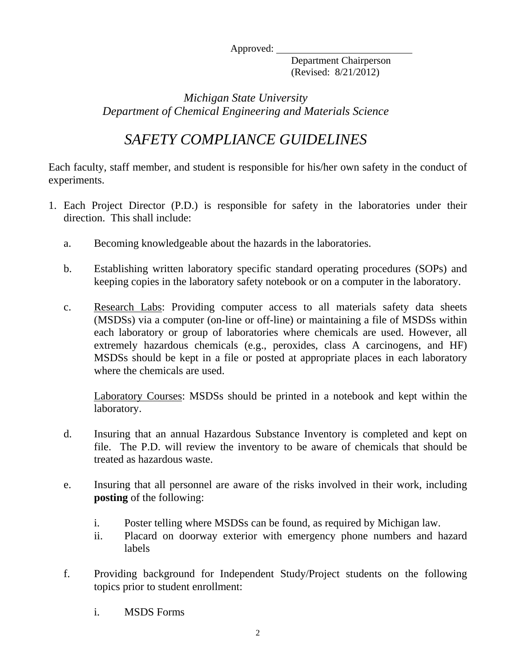Approved:

Department Chairperson (Revised: 8/21/2012)

*Michigan State University Department of Chemical Engineering and Materials Science*

## *SAFETY COMPLIANCE GUIDELINES*

Each faculty, staff member, and student is responsible for his/her own safety in the conduct of experiments.

- 1. Each Project Director (P.D.) is responsible for safety in the laboratories under their direction. This shall include:
	- a. Becoming knowledgeable about the hazards in the laboratories.
	- b. Establishing written laboratory specific standard operating procedures (SOPs) and keeping copies in the laboratory safety notebook or on a computer in the laboratory.
	- c. Research Labs: Providing computer access to all materials safety data sheets (MSDSs) via a computer (on-line or off-line) or maintaining a file of MSDSs within each laboratory or group of laboratories where chemicals are used. However, all extremely hazardous chemicals (e.g., peroxides, class A carcinogens, and HF) MSDSs should be kept in a file or posted at appropriate places in each laboratory where the chemicals are used.

 Laboratory Courses: MSDSs should be printed in a notebook and kept within the laboratory.

- d. Insuring that an annual Hazardous Substance Inventory is completed and kept on file. The P.D. will review the inventory to be aware of chemicals that should be treated as hazardous waste.
- e. Insuring that all personnel are aware of the risks involved in their work, including **posting** of the following:
	- i. Poster telling where MSDSs can be found, as required by Michigan law.
	- ii. Placard on doorway exterior with emergency phone numbers and hazard labels
- f. Providing background for Independent Study/Project students on the following topics prior to student enrollment:
	- i. MSDS Forms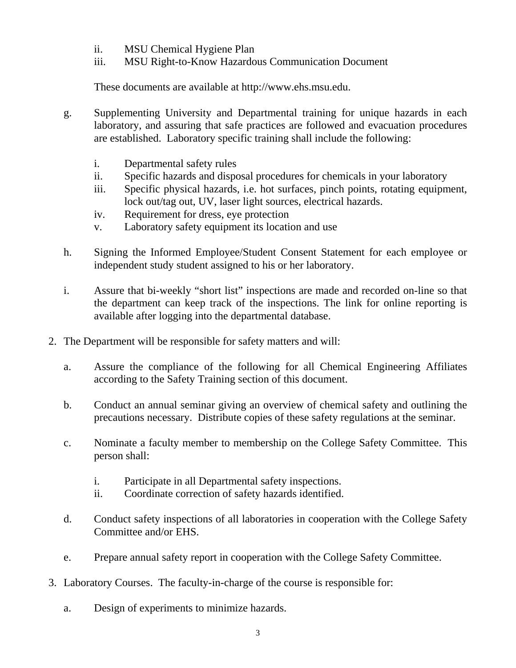- ii. MSU Chemical Hygiene Plan
- iii. MSU Right-to-Know Hazardous Communication Document

These documents are available at http://www.ehs.msu.edu.

- g. Supplementing University and Departmental training for unique hazards in each laboratory, and assuring that safe practices are followed and evacuation procedures are established. Laboratory specific training shall include the following:
	- i. Departmental safety rules
	- ii. Specific hazards and disposal procedures for chemicals in your laboratory
	- iii. Specific physical hazards, i.e. hot surfaces, pinch points, rotating equipment, lock out/tag out, UV, laser light sources, electrical hazards.
	- iv. Requirement for dress, eye protection
	- v. Laboratory safety equipment its location and use
- h. Signing the Informed Employee/Student Consent Statement for each employee or independent study student assigned to his or her laboratory.
- i. Assure that bi-weekly "short list" inspections are made and recorded on-line so that the department can keep track of the inspections. The link for online reporting is available after logging into the departmental database.
- 2. The Department will be responsible for safety matters and will:
	- a. Assure the compliance of the following for all Chemical Engineering Affiliates according to the Safety Training section of this document.
	- b. Conduct an annual seminar giving an overview of chemical safety and outlining the precautions necessary. Distribute copies of these safety regulations at the seminar.
	- c. Nominate a faculty member to membership on the College Safety Committee. This person shall:
		- i. Participate in all Departmental safety inspections.
		- ii. Coordinate correction of safety hazards identified.
	- d. Conduct safety inspections of all laboratories in cooperation with the College Safety Committee and/or EHS.
	- e. Prepare annual safety report in cooperation with the College Safety Committee.
- 3. Laboratory Courses. The faculty-in-charge of the course is responsible for:
	- a. Design of experiments to minimize hazards.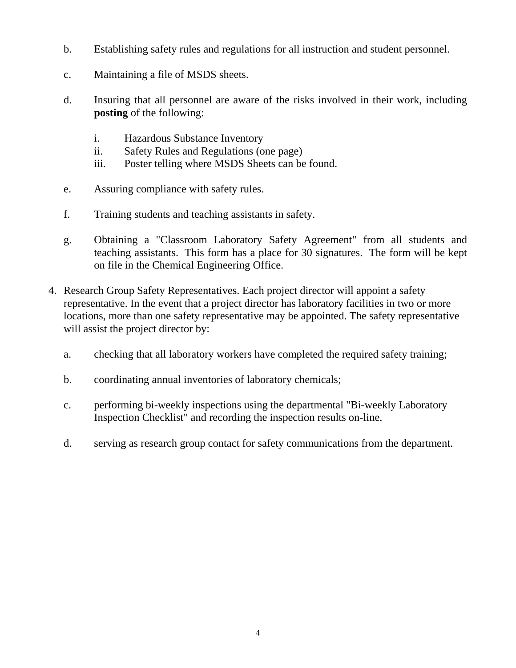- b. Establishing safety rules and regulations for all instruction and student personnel.
- c. Maintaining a file of MSDS sheets.
- d. Insuring that all personnel are aware of the risks involved in their work, including **posting** of the following:
	- i. Hazardous Substance Inventory
	- ii. Safety Rules and Regulations (one page)
	- iii. Poster telling where MSDS Sheets can be found.
- e. Assuring compliance with safety rules.
- f. Training students and teaching assistants in safety.
- g. Obtaining a "Classroom Laboratory Safety Agreement" from all students and teaching assistants. This form has a place for 30 signatures. The form will be kept on file in the Chemical Engineering Office.
- 4. Research Group Safety Representatives. Each project director will appoint a safety representative. In the event that a project director has laboratory facilities in two or more locations, more than one safety representative may be appointed. The safety representative will assist the project director by:
	- a. checking that all laboratory workers have completed the required safety training;
	- b. coordinating annual inventories of laboratory chemicals;
	- c. performing bi-weekly inspections using the departmental "Bi-weekly Laboratory Inspection Checklist" and recording the inspection results on-line.
	- d. serving as research group contact for safety communications from the department.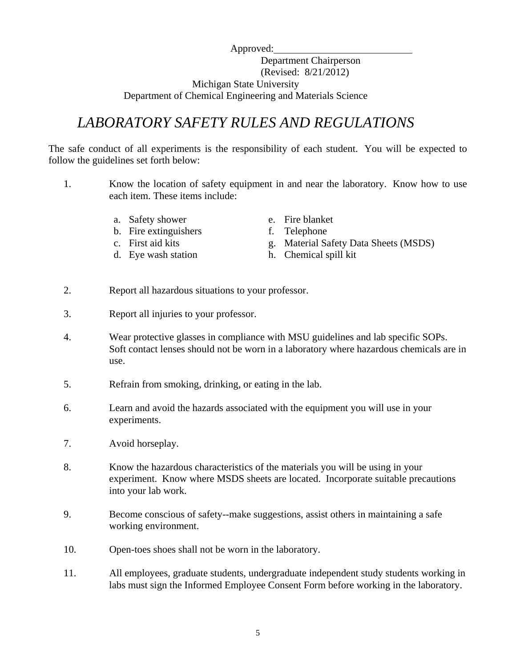Approved:

Department Chairperson (Revised: 8/21/2012) Michigan State University Department of Chemical Engineering and Materials Science

## *LABORATORY SAFETY RULES AND REGULATIONS*

The safe conduct of all experiments is the responsibility of each student. You will be expected to follow the guidelines set forth below:

- 1. Know the location of safety equipment in and near the laboratory. Know how to use each item. These items include:
	- a. Safety shower
	- b. Fire extinguishers
	- c. First aid kits
	- d. Eye wash station
- e. Fire blanket
- f. Telephone
- g. Material Safety Data Sheets (MSDS)
- h. Chemical spill kit
- 2. Report all hazardous situations to your professor.
- 3. Report all injuries to your professor.
- 4. Wear protective glasses in compliance with MSU guidelines and lab specific SOPs. Soft contact lenses should not be worn in a laboratory where hazardous chemicals are in use.
- 5. Refrain from smoking, drinking, or eating in the lab.
- 6. Learn and avoid the hazards associated with the equipment you will use in your experiments.
- 7. Avoid horseplay.
- 8. Know the hazardous characteristics of the materials you will be using in your experiment. Know where MSDS sheets are located. Incorporate suitable precautions into your lab work.
- 9. Become conscious of safety--make suggestions, assist others in maintaining a safe working environment.
- 10. Open-toes shoes shall not be worn in the laboratory.
- 11. All employees, graduate students, undergraduate independent study students working in labs must sign the Informed Employee Consent Form before working in the laboratory.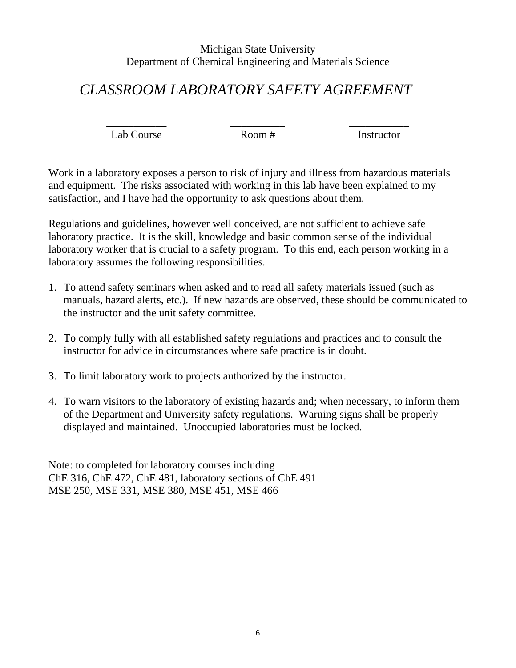## Michigan State University Department of Chemical Engineering and Materials Science

## *CLASSROOM LABORATORY SAFETY AGREEMENT*

\_\_\_\_\_\_\_\_\_\_\_ Lab Course

\_\_\_\_\_\_\_\_\_\_ Room #

\_\_\_\_\_\_\_\_\_\_\_ **Instructor** 

Work in a laboratory exposes a person to risk of injury and illness from hazardous materials and equipment. The risks associated with working in this lab have been explained to my satisfaction, and I have had the opportunity to ask questions about them.

Regulations and guidelines, however well conceived, are not sufficient to achieve safe laboratory practice. It is the skill, knowledge and basic common sense of the individual laboratory worker that is crucial to a safety program. To this end, each person working in a laboratory assumes the following responsibilities.

- 1. To attend safety seminars when asked and to read all safety materials issued (such as manuals, hazard alerts, etc.). If new hazards are observed, these should be communicated to the instructor and the unit safety committee.
- 2. To comply fully with all established safety regulations and practices and to consult the instructor for advice in circumstances where safe practice is in doubt.
- 3. To limit laboratory work to projects authorized by the instructor.
- 4. To warn visitors to the laboratory of existing hazards and; when necessary, to inform them of the Department and University safety regulations. Warning signs shall be properly displayed and maintained. Unoccupied laboratories must be locked.

Note: to completed for laboratory courses including ChE 316, ChE 472, ChE 481, laboratory sections of ChE 491 MSE 250, MSE 331, MSE 380, MSE 451, MSE 466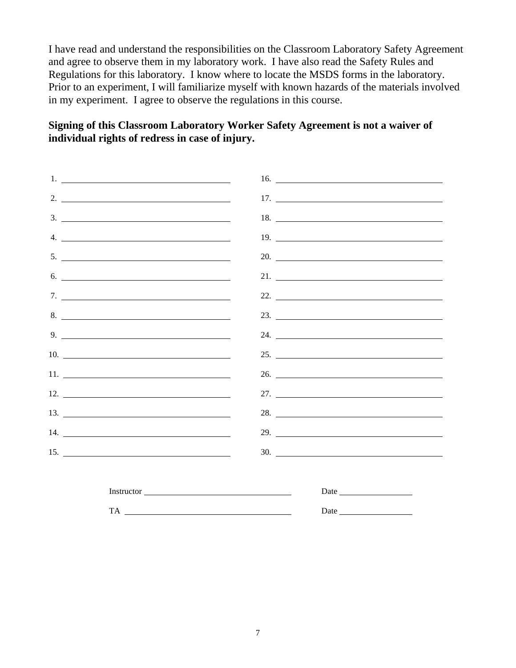I have read and understand the responsibilities on the Classroom Laboratory Safety Agreement and agree to observe them in my laboratory work. I have also read the Safety Rules and Regulations for this laboratory. I know where to locate the MSDS forms in the laboratory. Prior to an experiment, I will familiarize myself with known hazards of the materials involved in my experiment. I agree to observe the regulations in this course.

## **Signing of this Classroom Laboratory Worker Safety Agreement is not a waiver of individual rights of redress in case of injury.**

| 1. <u>____________________________</u> |      |
|----------------------------------------|------|
| 2. $\qquad \qquad$                     |      |
| $\frac{3}{2}$                          |      |
| $4. \_$                                |      |
|                                        |      |
| $6.$ $\overline{\phantom{a}}$          |      |
|                                        |      |
|                                        |      |
|                                        | 24.  |
|                                        |      |
| $11.$ $\qquad \qquad$                  |      |
|                                        |      |
|                                        |      |
|                                        |      |
|                                        |      |
|                                        |      |
|                                        |      |
| TA                                     | Date |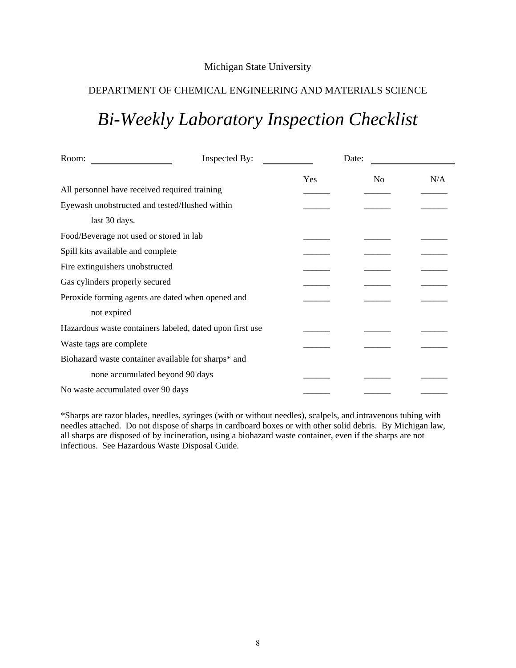### Michigan State University

## DEPARTMENT OF CHEMICAL ENGINEERING AND MATERIALS SCIENCE

# *Bi-Weekly Laboratory Inspection Checklist*

| Room:                                                    | Inspected By: |     | Date: |     |
|----------------------------------------------------------|---------------|-----|-------|-----|
|                                                          |               | Yes | No    | N/A |
| All personnel have received required training            |               |     |       |     |
| Eyewash unobstructed and tested/flushed within           |               |     |       |     |
| last 30 days.                                            |               |     |       |     |
| Food/Beverage not used or stored in lab                  |               |     |       |     |
| Spill kits available and complete                        |               |     |       |     |
| Fire extinguishers unobstructed                          |               |     |       |     |
| Gas cylinders properly secured                           |               |     |       |     |
| Peroxide forming agents are dated when opened and        |               |     |       |     |
| not expired                                              |               |     |       |     |
| Hazardous waste containers labeled, dated upon first use |               |     |       |     |
| Waste tags are complete                                  |               |     |       |     |
| Biohazard waste container available for sharps* and      |               |     |       |     |
| none accumulated beyond 90 days                          |               |     |       |     |
| No waste accumulated over 90 days                        |               |     |       |     |

\*Sharps are razor blades, needles, syringes (with or without needles), scalpels, and intravenous tubing with needles attached. Do not dispose of sharps in cardboard boxes or with other solid debris. By Michigan law, all sharps are disposed of by incineration, using a biohazard waste container, even if the sharps are not infectious. See Hazardous Waste Disposal Guide.